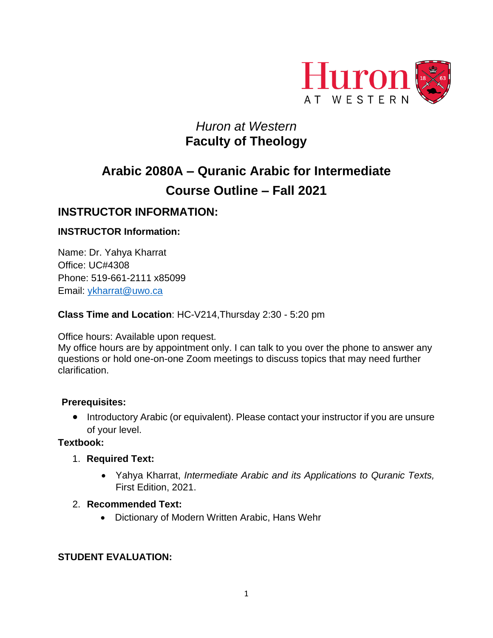

# *Huron at Western*  **Faculty of Theology**

# **Arabic 2080A – Quranic Arabic for Intermediate Course Outline – Fall 2021**

# **INSTRUCTOR INFORMATION:**

## **INSTRUCTOR Information:**

Name: Dr. Yahya Kharrat Office: UC#4308 Phone: 519-661-2111 x85099 Email: [ykharrat@uwo.ca](mailto:ykharrat@uwo.ca)

#### **Class Time and Location**: HC-V214,Thursday 2:30 - 5:20 pm

Office hours: Available upon request.

My office hours are by appointment only. I can talk to you over the phone to answer any questions or hold one-on-one Zoom meetings to discuss topics that may need further clarification.

#### **Prerequisites:**

• Introductory Arabic (or equivalent). Please contact your instructor if you are unsure of your level.

#### **Textbook:**

- 1. **Required Text:**
	- Yahya Kharrat, *Intermediate Arabic and its Applications to Quranic Texts,* First Edition, 2021.

#### 2. **Recommended Text:**

• Dictionary of Modern Written Arabic, Hans Wehr

### **STUDENT EVALUATION:**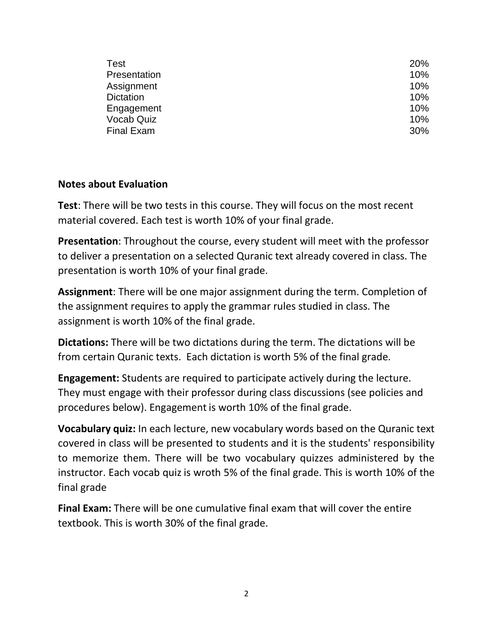| Test              | <b>20%</b> |
|-------------------|------------|
| Presentation      | 10%        |
| Assignment        | 10%        |
| <b>Dictation</b>  | 10%        |
| Engagement        | 10%        |
| <b>Vocab Quiz</b> | 10%        |
| <b>Final Exam</b> | 30%        |

## **Notes about Evaluation**

**Test**: There will be two tests in this course. They will focus on the most recent material covered. Each test is worth 10% of your final grade.

**Presentation**: Throughout the course, every student will meet with the professor to deliver a presentation on a selected Quranic text already covered in class. The presentation is worth 10% of your final grade.

**Assignment**: There will be one major assignment during the term. Completion of the assignment requires to apply the grammar rules studied in class. The assignment is worth 10% of the final grade.

**Dictations:** There will be two dictations during the term. The dictations will be from certain Quranic texts. Each dictation is worth 5% of the final grade.

**Engagement:** Students are required to participate actively during the lecture. They must engage with their professor during class discussions (see policies and procedures below). Engagement is worth 10% of the final grade.

**Vocabulary quiz:** In each lecture, new vocabulary words based on the Quranic text covered in class will be presented to students and it is the students' responsibility to memorize them. There will be two vocabulary quizzes administered by the instructor. Each vocab quiz is wroth 5% of the final grade. This is worth 10% of the final grade

**Final Exam:** There will be one cumulative final exam that will cover the entire textbook. This is worth 30% of the final grade.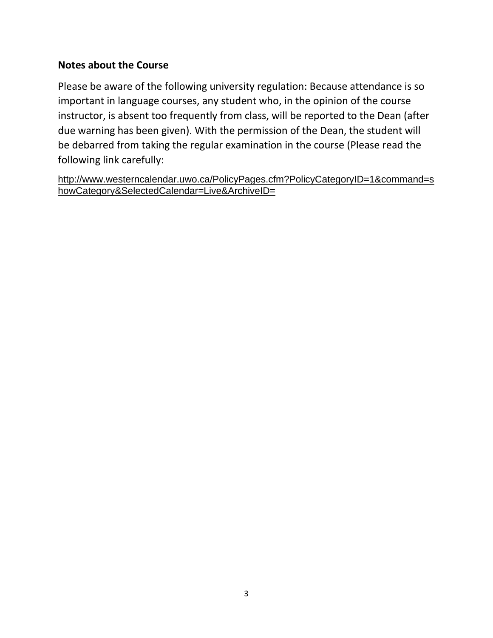# **Notes about the Course**

Please be aware of the following university regulation: Because attendance is so important in language courses, any student who, in the opinion of the course instructor, is absent too frequently from class, will be reported to the Dean (after due warning has been given). With the permission of the Dean, the student will be debarred from taking the regular examination in the course (Please read the following link carefully:

[http://www.westerncalendar.uwo.ca/PolicyPages.cfm?PolicyCategoryID=1&command=s](http://www.westerncalendar.uwo.ca/PolicyPages.cfm?PolicyCategoryID=1&command=showCategory&SelectedCalendar=Live&ArchiveID=) [howCategory&SelectedCalendar=Live&ArchiveID=](http://www.westerncalendar.uwo.ca/PolicyPages.cfm?PolicyCategoryID=1&command=showCategory&SelectedCalendar=Live&ArchiveID=)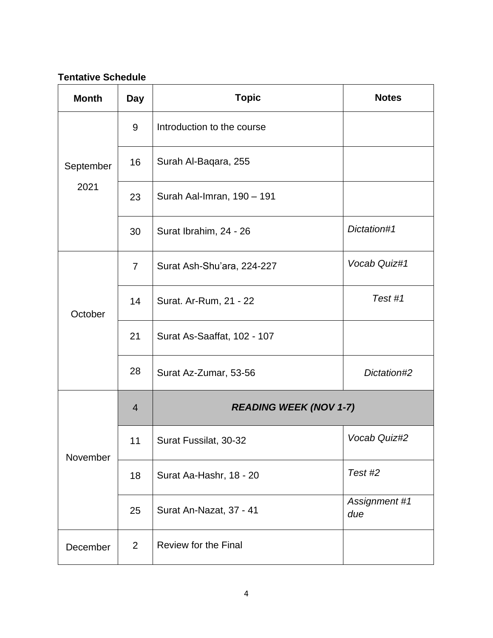# **Tentative Schedule**

| <b>Month</b>      | <b>Day</b>     | <b>Topic</b>                  | <b>Notes</b>         |
|-------------------|----------------|-------------------------------|----------------------|
| September<br>2021 | 9              | Introduction to the course    |                      |
|                   | 16             | Surah Al-Baqara, 255          |                      |
|                   | 23             | Surah Aal-Imran, 190 - 191    |                      |
|                   | 30             | Surat Ibrahim, 24 - 26        | Dictation#1          |
| October           | $\overline{7}$ | Surat Ash-Shu'ara, 224-227    | Vocab Quiz#1         |
|                   | 14             | Surat. Ar-Rum, 21 - 22        | Test #1              |
|                   | 21             | Surat As-Saaffat, 102 - 107   |                      |
|                   | 28             | Surat Az-Zumar, 53-56         | Dictation#2          |
|                   | $\overline{4}$ | <b>READING WEEK (NOV 1-7)</b> |                      |
| November          | 11             | Surat Fussilat, 30-32         | Vocab Quiz#2         |
|                   | 18             | Surat Aa-Hashr, 18 - 20       | Test#2               |
|                   | 25             | Surat An-Nazat, 37 - 41       | Assignment #1<br>due |
| December          | $\overline{2}$ | Review for the Final          |                      |